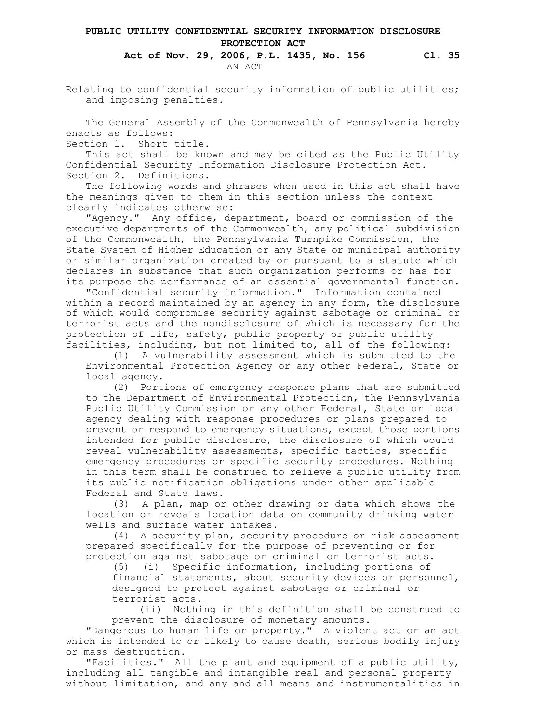## **PUBLIC UTILITY CONFIDENTIAL SECURITY INFORMATION DISCLOSURE PROTECTION ACT**

## **Act of Nov. 29, 2006, P.L. 1435, No. 156 Cl. 35** AN ACT

Relating to confidential security information of public utilities; and imposing penalties.

The General Assembly of the Commonwealth of Pennsylvania hereby enacts as follows:

Section 1. Short title.

This act shall be known and may be cited as the Public Utility Confidential Security Information Disclosure Protection Act. Section 2. Definitions.

The following words and phrases when used in this act shall have the meanings given to them in this section unless the context clearly indicates otherwise:

"Agency." Any office, department, board or commission of the executive departments of the Commonwealth, any political subdivision of the Commonwealth, the Pennsylvania Turnpike Commission, the State System of Higher Education or any State or municipal authority or similar organization created by or pursuant to a statute which declares in substance that such organization performs or has for its purpose the performance of an essential governmental function.

"Confidential security information." Information contained within a record maintained by an agency in any form, the disclosure of which would compromise security against sabotage or criminal or terrorist acts and the nondisclosure of which is necessary for the protection of life, safety, public property or public utility facilities, including, but not limited to, all of the following:

(1) A vulnerability assessment which is submitted to the Environmental Protection Agency or any other Federal, State or local agency.

(2) Portions of emergency response plans that are submitted to the Department of Environmental Protection, the Pennsylvania Public Utility Commission or any other Federal, State or local agency dealing with response procedures or plans prepared to prevent or respond to emergency situations, except those portions intended for public disclosure, the disclosure of which would reveal vulnerability assessments, specific tactics, specific emergency procedures or specific security procedures. Nothing in this term shall be construed to relieve a public utility from its public notification obligations under other applicable Federal and State laws.

(3) A plan, map or other drawing or data which shows the location or reveals location data on community drinking water wells and surface water intakes.

(4) A security plan, security procedure or risk assessment prepared specifically for the purpose of preventing or for protection against sabotage or criminal or terrorist acts.

(5) (i) Specific information, including portions of financial statements, about security devices or personnel, designed to protect against sabotage or criminal or terrorist acts.

(ii) Nothing in this definition shall be construed to prevent the disclosure of monetary amounts.

"Dangerous to human life or property." A violent act or an act which is intended to or likely to cause death, serious bodily injury or mass destruction.

"Facilities." All the plant and equipment of a public utility, including all tangible and intangible real and personal property without limitation, and any and all means and instrumentalities in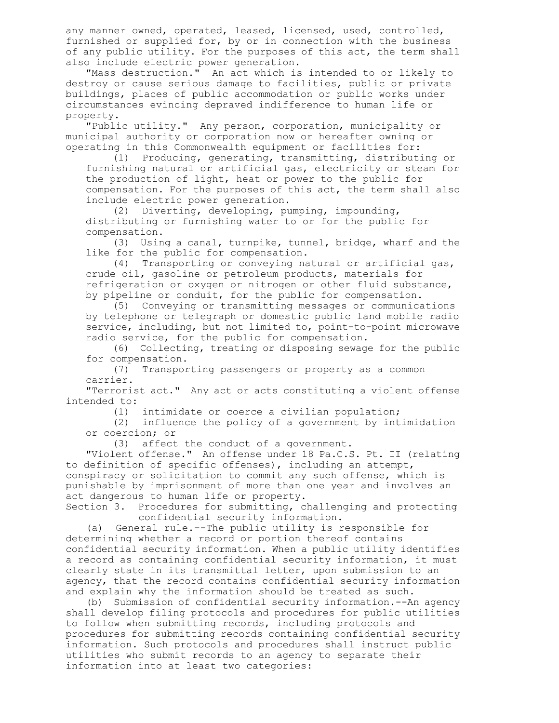any manner owned, operated, leased, licensed, used, controlled, furnished or supplied for, by or in connection with the business of any public utility. For the purposes of this act, the term shall also include electric power generation.

"Mass destruction." An act which is intended to or likely to destroy or cause serious damage to facilities, public or private buildings, places of public accommodation or public works under circumstances evincing depraved indifference to human life or property.

"Public utility." Any person, corporation, municipality or municipal authority or corporation now or hereafter owning or operating in this Commonwealth equipment or facilities for:

(1) Producing, generating, transmitting, distributing or furnishing natural or artificial gas, electricity or steam for the production of light, heat or power to the public for compensation. For the purposes of this act, the term shall also include electric power generation.

(2) Diverting, developing, pumping, impounding, distributing or furnishing water to or for the public for compensation.

(3) Using a canal, turnpike, tunnel, bridge, wharf and the like for the public for compensation.

(4) Transporting or conveying natural or artificial gas, crude oil, gasoline or petroleum products, materials for refrigeration or oxygen or nitrogen or other fluid substance, by pipeline or conduit, for the public for compensation.

(5) Conveying or transmitting messages or communications by telephone or telegraph or domestic public land mobile radio service, including, but not limited to, point-to-point microwave radio service, for the public for compensation.

(6) Collecting, treating or disposing sewage for the public for compensation.

(7) Transporting passengers or property as a common carrier.

"Terrorist act." Any act or acts constituting a violent offense intended to:

(1) intimidate or coerce a civilian population;

(2) influence the policy of a government by intimidation or coercion; or

(3) affect the conduct of a government.

"Violent offense." An offense under 18 Pa.C.S. Pt. II (relating to definition of specific offenses), including an attempt, conspiracy or solicitation to commit any such offense, which is punishable by imprisonment of more than one year and involves an act dangerous to human life or property.

Section 3. Procedures for submitting, challenging and protecting confidential security information.

(a) General rule.--The public utility is responsible for determining whether a record or portion thereof contains confidential security information. When a public utility identifies a record as containing confidential security information, it must clearly state in its transmittal letter, upon submission to an agency, that the record contains confidential security information and explain why the information should be treated as such.

(b) Submission of confidential security information.--An agency shall develop filing protocols and procedures for public utilities to follow when submitting records, including protocols and procedures for submitting records containing confidential security information. Such protocols and procedures shall instruct public utilities who submit records to an agency to separate their information into at least two categories: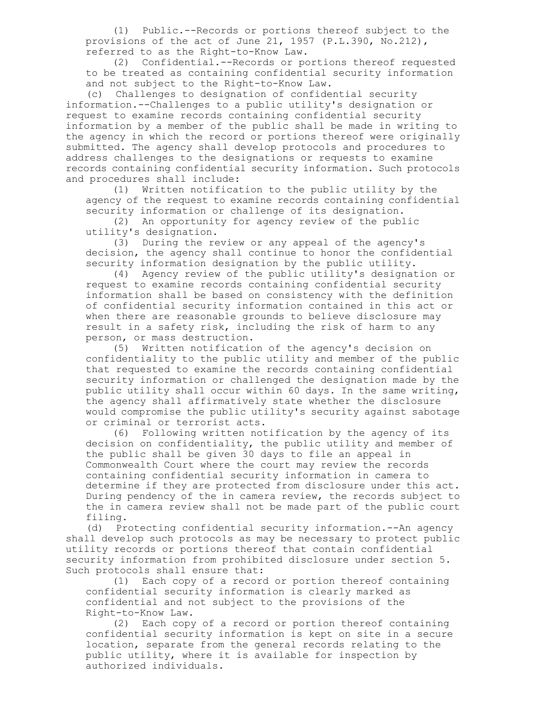(1) Public.--Records or portions thereof subject to the provisions of the act of June 21, 1957 (P.L.390, No.212), referred to as the Right-to-Know Law.

(2) Confidential.--Records or portions thereof requested to be treated as containing confidential security information and not subject to the Right-to-Know Law.

(c) Challenges to designation of confidential security information.--Challenges to a public utility's designation or request to examine records containing confidential security information by a member of the public shall be made in writing to the agency in which the record or portions thereof were originally submitted. The agency shall develop protocols and procedures to address challenges to the designations or requests to examine records containing confidential security information. Such protocols and procedures shall include:

(1) Written notification to the public utility by the agency of the request to examine records containing confidential security information or challenge of its designation.

(2) An opportunity for agency review of the public utility's designation.

(3) During the review or any appeal of the agency's decision, the agency shall continue to honor the confidential security information designation by the public utility.

(4) Agency review of the public utility's designation or request to examine records containing confidential security information shall be based on consistency with the definition of confidential security information contained in this act or when there are reasonable grounds to believe disclosure may result in a safety risk, including the risk of harm to any person, or mass destruction.

(5) Written notification of the agency's decision on confidentiality to the public utility and member of the public that requested to examine the records containing confidential security information or challenged the designation made by the public utility shall occur within 60 days. In the same writing, the agency shall affirmatively state whether the disclosure would compromise the public utility's security against sabotage or criminal or terrorist acts.

(6) Following written notification by the agency of its decision on confidentiality, the public utility and member of the public shall be given 30 days to file an appeal in Commonwealth Court where the court may review the records containing confidential security information in camera to determine if they are protected from disclosure under this act. During pendency of the in camera review, the records subject to the in camera review shall not be made part of the public court filing.

(d) Protecting confidential security information.--An agency shall develop such protocols as may be necessary to protect public utility records or portions thereof that contain confidential security information from prohibited disclosure under section 5. Such protocols shall ensure that:

(1) Each copy of a record or portion thereof containing confidential security information is clearly marked as confidential and not subject to the provisions of the Right-to-Know Law.

(2) Each copy of a record or portion thereof containing confidential security information is kept on site in a secure location, separate from the general records relating to the public utility, where it is available for inspection by authorized individuals.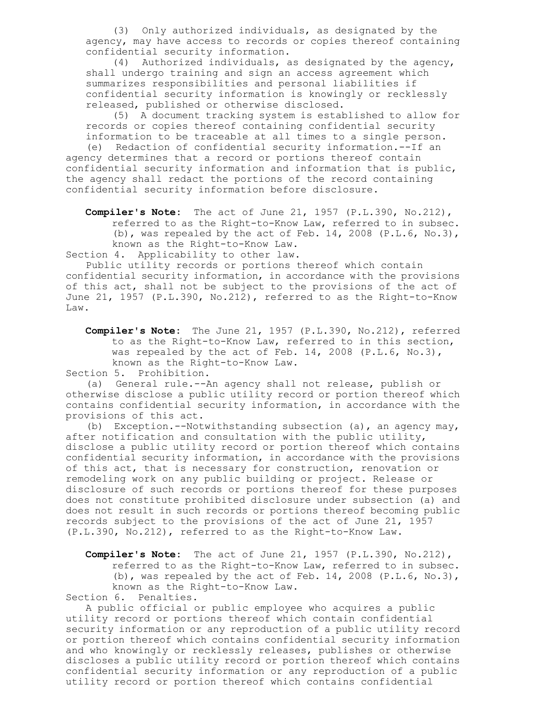(3) Only authorized individuals, as designated by the agency, may have access to records or copies thereof containing confidential security information.

(4) Authorized individuals, as designated by the agency, shall undergo training and sign an access agreement which summarizes responsibilities and personal liabilities if confidential security information is knowingly or recklessly released, published or otherwise disclosed.

(5) A document tracking system is established to allow for records or copies thereof containing confidential security information to be traceable at all times to a single person. (e) Redaction of confidential security information.--If an agency determines that a record or portions thereof contain confidential security information and information that is public, the agency shall redact the portions of the record containing confidential security information before disclosure.

**Compiler's Note:** The act of June 21, 1957 (P.L.390, No.212), referred to as the Right-to-Know Law, referred to in subsec. (b), was repealed by the act of Feb. 14, 2008  $(P.L.6, No.3)$ , known as the Right-to-Know Law.

Section 4. Applicability to other law.

Public utility records or portions thereof which contain confidential security information, in accordance with the provisions of this act, shall not be subject to the provisions of the act of June 21, 1957 (P.L.390, No.212), referred to as the Right-to-Know Law.

**Compiler's Note:** The June 21, 1957 (P.L.390, No.212), referred to as the Right-to-Know Law, referred to in this section, was repealed by the act of Feb. 14, 2008 (P.L.6, No.3), known as the Right-to-Know Law.

Section 5. Prohibition.

(a) General rule.--An agency shall not release, publish or otherwise disclose a public utility record or portion thereof which contains confidential security information, in accordance with the provisions of this act.

(b) Exception.--Notwithstanding subsection (a), an agency may, after notification and consultation with the public utility, disclose a public utility record or portion thereof which contains confidential security information, in accordance with the provisions of this act, that is necessary for construction, renovation or remodeling work on any public building or project. Release or disclosure of such records or portions thereof for these purposes does not constitute prohibited disclosure under subsection (a) and does not result in such records or portions thereof becoming public records subject to the provisions of the act of June 21, 1957 (P.L.390, No.212), referred to as the Right-to-Know Law.

**Compiler's Note:** The act of June 21, 1957 (P.L.390, No.212), referred to as the Right-to-Know Law, referred to in subsec. (b), was repealed by the act of Feb. 14, 2008 (P.L.6, No.3), known as the Right-to-Know Law.

Section 6. Penalties.

A public official or public employee who acquires a public utility record or portions thereof which contain confidential security information or any reproduction of a public utility record or portion thereof which contains confidential security information and who knowingly or recklessly releases, publishes or otherwise discloses a public utility record or portion thereof which contains confidential security information or any reproduction of a public utility record or portion thereof which contains confidential